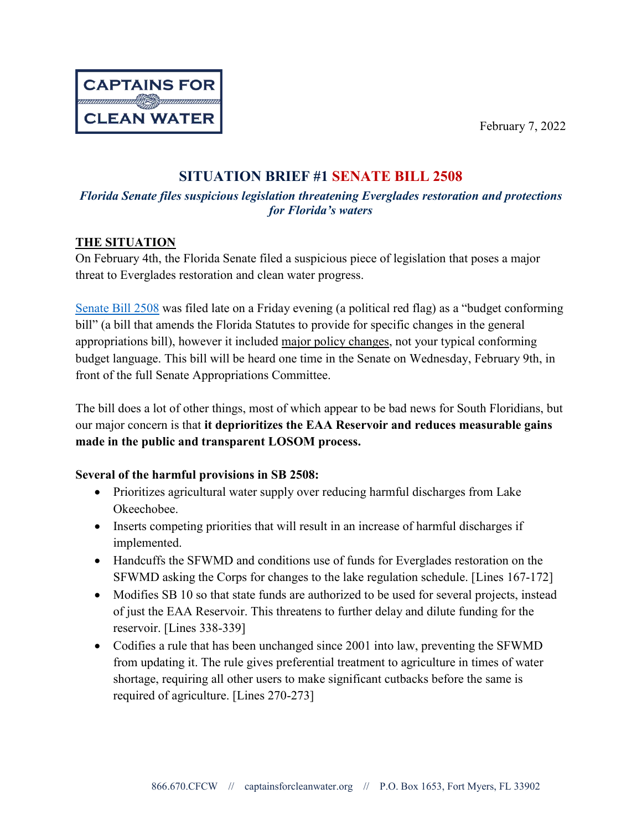

# **SITUATION BRIEF #1 SENATE BILL 2508**

# *Florida Senate files suspicious legislation threatening Everglades restoration and protections for Florida's waters*

## **THE SITUATION**

On February 4th, the Florida Senate filed a suspicious piece of legislation that poses a major threat to Everglades restoration and clean water progress.

[Senate Bill](https://www.flsenate.gov/Session/Bill/2022/2508/BillText/pb/HTML) 2508 was filed late on a Friday evening (a political red flag) as a "budget conforming bill" (a bill that amends the Florida Statutes to provide for specific changes in the general appropriations bill), however it included major policy changes, not your typical conforming budget language. This bill will be heard one time in the Senate on Wednesday, February 9th, in front of the full Senate Appropriations Committee.

The bill does a lot of other things, most of which appear to be bad news for South Floridians, but our major concern is that **it deprioritizes the EAA Reservoir and reduces measurable gains made in the public and transparent LOSOM process.**

## **Several of the harmful provisions in SB 2508:**

- Prioritizes agricultural water supply over reducing harmful discharges from Lake Okeechobee.
- Inserts competing priorities that will result in an increase of harmful discharges if implemented.
- Handcuffs the SFWMD and conditions use of funds for Everglades restoration on the SFWMD asking the Corps for changes to the lake regulation schedule. [Lines 167-172]
- Modifies SB 10 so that state funds are authorized to be used for several projects, instead of just the EAA Reservoir. This threatens to further delay and dilute funding for the reservoir. [Lines 338-339]
- Codifies a rule that has been unchanged since 2001 into law, preventing the SFWMD from updating it. The rule gives preferential treatment to agriculture in times of water shortage, requiring all other users to make significant cutbacks before the same is required of agriculture. [Lines 270-273]